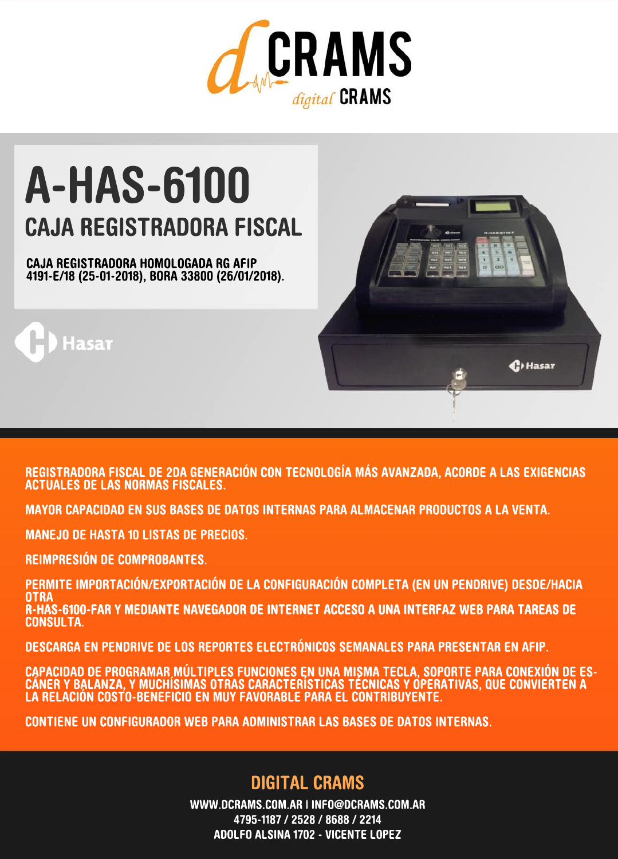

# A-HAS-6100 **CAJA REGISTRADORA FISCAL**

CAJA REGISTRADORA HOMOLOGADA RG AFIP 4191-E/18(25-01-2018),BORA33800(26/01/2018).



REGISTRADORA FISCAL DE 2DA GENERACIÓN CON TECNOLOGÍA MÁS AVANZADA, ACORDE A LAS EXIGENCIAS **ACTUALES DE LAS NORMAS FISCALES.** 

MAYOR CAPACIDAD EN SUS BASES DE DATOS INTERNAS PARA ALMACENAR PRODUCTOS A LA VENTA.

**MANEJO DE HASTA 10 LISTAS DE PRECIOS.** 

REIMPRESIÓN DE COMPROBANTES.

asar

PERMITE IMPORTACIÓN/EXPORTACIÓN DE LA CONFIGURACIÓN COMPLETA (EN UN PENDRIVE) DESDE/HACIA **OTRA** R-HAS-6100-FAR Y MEDIANTE NAVEGADOR DE INTERNET ACCESO A UNA INTERFAZ WEB PARA TAREAS DE CONSULTA.

DESCARGA EN PENDRIVE DE LOS REPORTES ELECTRÓNICOS SEMANALES PARA PRESENTAR EN AFIP.

CAPACIDAD DE PROGRAMAR MÚLTIPLES FUNCIONES EN UNA MISMA TECLA, SOPORTE PARA CONEXIÓN DE ES-<br>CÁNER Y BALANZA, Y MUCHÍSIMAS OTRAS CARACTERÍSTICAS TÉCNICAS Y OPERATIVAS, QUE CONVIERTEN A LA RELACIÓN COSTO-BENEFICIO EN MUY FAVORABLE PARA EL CONTRIBUYENTE.

CONTIENE UN CONFIGURADOR WEB PARA ADMINISTRAR LAS BASES DE DATOS INTERNAS.

## **DIGITAL CRAMS**

WWW.DCRAMS.COM.AR | INFO@DCRAMS.COM.AR 4795-1187/2528/8688/2214 ADOLFO ALSINA 1702 - VICENTE LOPEZ